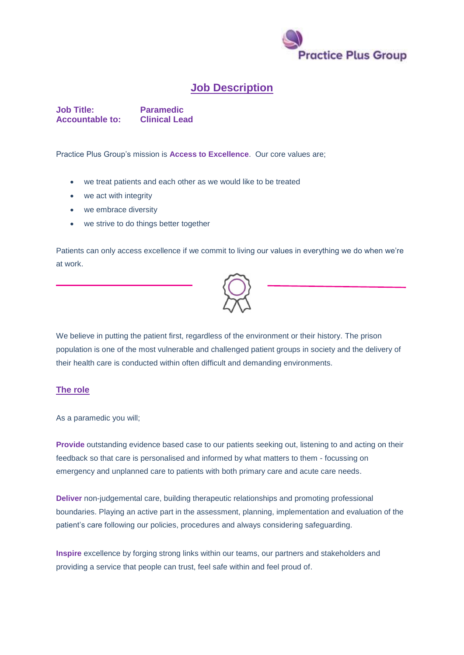

## **Job Description**

**Job Title:** Paramedic<br> **Accountable to:** Clinical Lead **Accountable to:** 

Practice Plus Group's mission is **Access to Excellence**. Our core values are;

- we treat patients and each other as we would like to be treated
- we act with integrity
- we embrace diversity
- we strive to do things better together

Patients can only access excellence if we commit to living our values in everything we do when we're at work.



We believe in putting the patient first, regardless of the environment or their history. The prison population is one of the most vulnerable and challenged patient groups in society and the delivery of their health care is conducted within often difficult and demanding environments.

## **The role**

As a paramedic you will;

**Provide** outstanding evidence based case to our patients seeking out, listening to and acting on their feedback so that care is personalised and informed by what matters to them - focussing on emergency and unplanned care to patients with both primary care and acute care needs.

**Deliver** non-judgemental care, building therapeutic relationships and promoting professional boundaries. Playing an active part in the assessment, planning, implementation and evaluation of the patient's care following our policies, procedures and always considering safeguarding.

**Inspire** excellence by forging strong links within our teams, our partners and stakeholders and providing a service that people can trust, feel safe within and feel proud of.